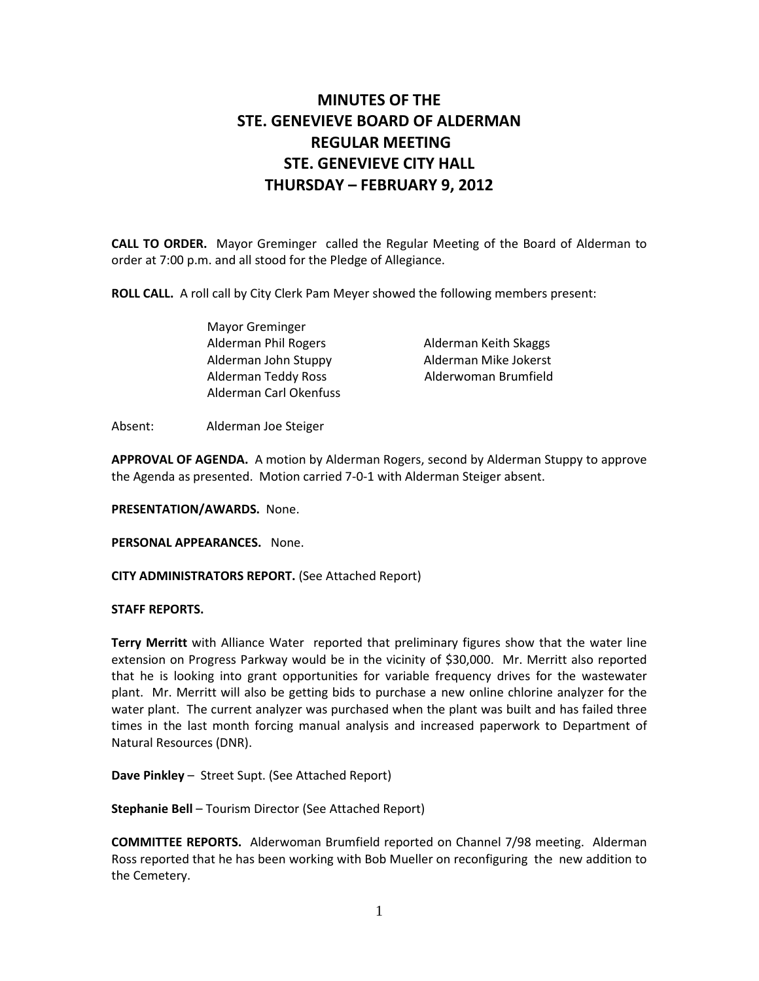# MINUTES OF THE STE. GENEVIEVE BOARD OF ALDERMAN REGULAR MEETING STE. GENEVIEVE CITY HALL THURSDAY – FEBRUARY 9, 2012

CALL TO ORDER. Mayor Greminger called the Regular Meeting of the Board of Alderman to order at 7:00 p.m. and all stood for the Pledge of Allegiance.

ROLL CALL. A roll call by City Clerk Pam Meyer showed the following members present:

 Mayor Greminger Alderman Phil Rogers **Alderman Keith Skaggs**  Alderman John Stuppy Alderman Mike Jokerst Alderman Teddy Ross Alderwoman Brumfield Alderman Carl Okenfuss

Absent: Alderman Joe Steiger

APPROVAL OF AGENDA. A motion by Alderman Rogers, second by Alderman Stuppy to approve the Agenda as presented. Motion carried 7-0-1 with Alderman Steiger absent.

PRESENTATION/AWARDS. None.

PERSONAL APPEARANCES. None.

CITY ADMINISTRATORS REPORT. (See Attached Report)

#### STAFF REPORTS.

Terry Merritt with Alliance Water reported that preliminary figures show that the water line extension on Progress Parkway would be in the vicinity of \$30,000. Mr. Merritt also reported that he is looking into grant opportunities for variable frequency drives for the wastewater plant. Mr. Merritt will also be getting bids to purchase a new online chlorine analyzer for the water plant. The current analyzer was purchased when the plant was built and has failed three times in the last month forcing manual analysis and increased paperwork to Department of Natural Resources (DNR).

Dave Pinkley – Street Supt. (See Attached Report)

Stephanie Bell – Tourism Director (See Attached Report)

COMMITTEE REPORTS. Alderwoman Brumfield reported on Channel 7/98 meeting. Alderman Ross reported that he has been working with Bob Mueller on reconfiguring the new addition to the Cemetery.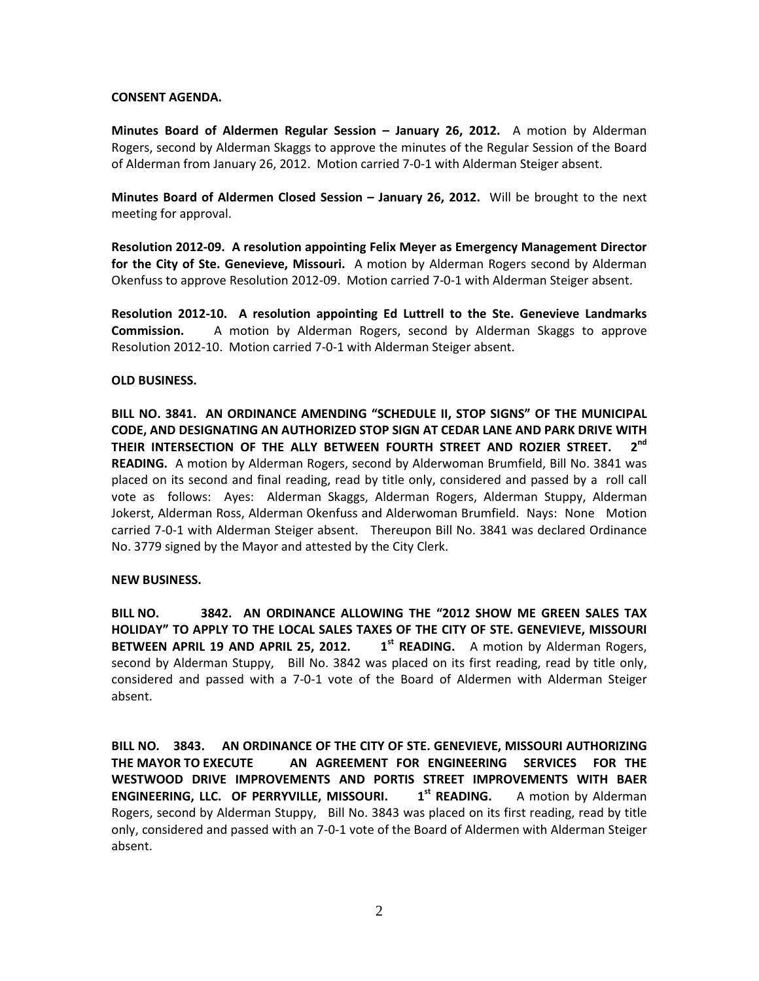# CONSENT AGENDA.

Minutes Board of Aldermen Regular Session – January 26, 2012. A motion by Alderman Rogers, second by Alderman Skaggs to approve the minutes of the Regular Session of the Board of Alderman from January 26, 2012. Motion carried 7-0-1 with Alderman Steiger absent.

Minutes Board of Aldermen Closed Session - January 26, 2012. Will be brought to the next meeting for approval.

Resolution 2012-09. A resolution appointing Felix Meyer as Emergency Management Director for the City of Ste. Genevieve, Missouri. A motion by Alderman Rogers second by Alderman Okenfuss to approve Resolution 2012-09. Motion carried 7-0-1 with Alderman Steiger absent.

Resolution 2012-10. A resolution appointing Ed Luttrell to the Ste. Genevieve Landmarks Commission. A motion by Alderman Rogers, second by Alderman Skaggs to approve Resolution 2012-10. Motion carried 7-0-1 with Alderman Steiger absent.

# OLD BUSINESS.

BILL NO. 3841. AN ORDINANCE AMENDING "SCHEDULE II, STOP SIGNS" OF THE MUNICIPAL CODE, AND DESIGNATING AN AUTHORIZED STOP SIGN AT CEDAR LANE AND PARK DRIVE WITH THEIR INTERSECTION OF THE ALLY BETWEEN FOURTH STREET AND ROZIER STREET.  $2^{\mathsf{nd}}$ READING. A motion by Alderman Rogers, second by Alderwoman Brumfield, Bill No. 3841 was placed on its second and final reading, read by title only, considered and passed by a roll call vote as follows: Ayes: Alderman Skaggs, Alderman Rogers, Alderman Stuppy, Alderman Jokerst, Alderman Ross, Alderman Okenfuss and Alderwoman Brumfield. Nays: None Motion carried 7-0-1 with Alderman Steiger absent. Thereupon Bill No. 3841 was declared Ordinance No. 3779 signed by the Mayor and attested by the City Clerk.

## NEW BUSINESS.

BILL NO. 3842. AN ORDINANCE ALLOWING THE "2012 SHOW ME GREEN SALES TAX HOLIDAY" TO APPLY TO THE LOCAL SALES TAXES OF THE CITY OF STE. GENEVIEVE, MISSOURI BETWEEN APRIL 19 AND APRIL 25, 2012.  $1^{st}$  READING. A motion by Alderman Rogers, second by Alderman Stuppy, Bill No. 3842 was placed on its first reading, read by title only, considered and passed with a 7-0-1 vote of the Board of Aldermen with Alderman Steiger absent.

BILL NO. 3843. AN ORDINANCE OF THE CITY OF STE. GENEVIEVE, MISSOURI AUTHORIZING THE MAYOR TO EXECUTE AN AGREEMENT FOR ENGINEERING SERVICES FOR THE WESTWOOD DRIVE IMPROVEMENTS AND PORTIS STREET IMPROVEMENTS WITH BAER ENGINEERING, LLC. OF PERRYVILLE, MISSOURI. 1<sup>st</sup> READING. A motion by Alderman Rogers, second by Alderman Stuppy, Bill No. 3843 was placed on its first reading, read by title only, considered and passed with an 7-0-1 vote of the Board of Aldermen with Alderman Steiger absent.